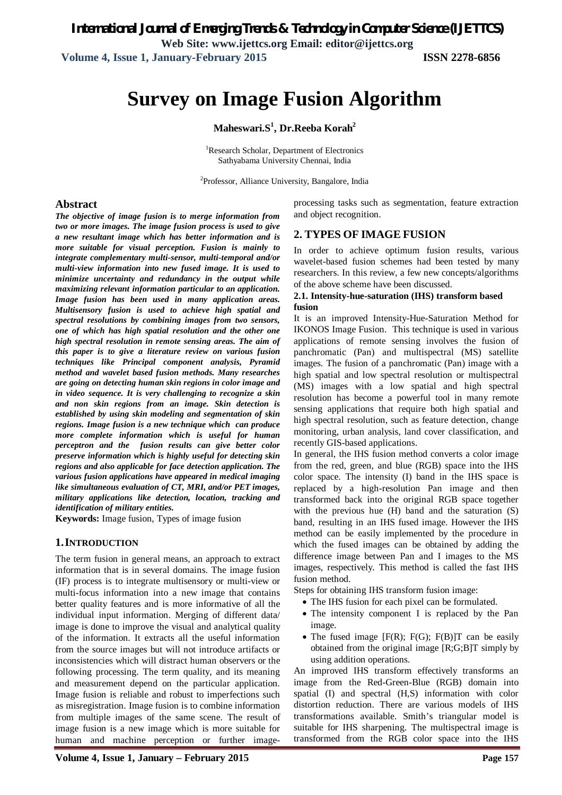# **Survey on Image Fusion Algorithm**

**Maheswari.S<sup>1</sup> , Dr.Reeba Korah<sup>2</sup>**

<sup>1</sup>Research Scholar, Department of Electronics Sathyabama University Chennai, India

<sup>2</sup>Professor, Alliance University, Bangalore, India

#### **Abstract**

*The objective of image fusion is to merge information from two or more images. The image fusion process is used to give a new resultant image which has better information and is more suitable for visual perception. Fusion is mainly to integrate complementary multi-sensor, multi-temporal and/or multi-view information into new fused image. It is used to minimize uncertainty and redundancy in the output while maximizing relevant information particular to an application. Image fusion has been used in many application areas. Multisensory fusion is used to achieve high spatial and spectral resolutions by combining images from two sensors, one of which has high spatial resolution and the other one high spectral resolution in remote sensing areas. The aim of this paper is to give a literature review on various fusion techniques like Principal component analysis, Pyramid method and wavelet based fusion methods. Many researches are going on detecting human skin regions in color image and in video sequence. It is very challenging to recognize a skin and non skin regions from an image. Skin detection is established by using skin modeling and segmentation of skin regions. Image fusion is a new technique which can produce more complete information which is useful for human perceptron and the fusion results can give better color preserve information which is highly useful for detecting skin regions and also applicable for face detection application. The various fusion applications have appeared in medical imaging like simultaneous evaluation of CT, MRI, and/or PET images, military applications like detection, location, tracking and identification of military entities.*

**Keywords:** Image fusion, Types of image fusion

#### **1.INTRODUCTION**

The term fusion in general means, an approach to extract information that is in several domains. The image fusion (IF) process is to integrate multisensory or multi-view or multi-focus information into a new image that contains better quality features and is more informative of all the individual input information. Merging of different data/ image is done to improve the visual and analytical quality of the information. It extracts all the useful information from the source images but will not introduce artifacts or inconsistencies which will distract human observers or the following processing. The term quality, and its meaning and measurement depend on the particular application. Image fusion is reliable and robust to imperfections such as misregistration. Image fusion is to combine information from multiple images of the same scene. The result of image fusion is a new image which is more suitable for human and machine perception or further imageprocessing tasks such as segmentation, feature extraction and object recognition.

#### **2. TYPES OF IMAGE FUSION**

In order to achieve optimum fusion results, various wavelet-based fusion schemes had been tested by many researchers. In this review, a few new concepts/algorithms of the above scheme have been discussed.

#### **2.1. Intensity-hue-saturation (IHS) transform based fusion**

It is an improved Intensity-Hue-Saturation Method for IKONOS Image Fusion. This technique is used in various applications of remote sensing involves the fusion of panchromatic (Pan) and multispectral (MS) satellite images. The fusion of a panchromatic (Pan) image with a high spatial and low spectral resolution or multispectral (MS) images with a low spatial and high spectral resolution has become a powerful tool in many remote sensing applications that require both high spatial and high spectral resolution, such as feature detection, change monitoring, urban analysis, land cover classification, and recently GIS-based applications.

In general, the IHS fusion method converts a color image from the red, green, and blue (RGB) space into the IHS color space. The intensity (I) band in the IHS space is replaced by a high-resolution Pan image and then transformed back into the original RGB space together with the previous hue (H) band and the saturation (S) band, resulting in an IHS fused image. However the IHS method can be easily implemented by the procedure in which the fused images can be obtained by adding the difference image between Pan and I images to the MS images, respectively. This method is called the fast IHS fusion method.

Steps for obtaining IHS transform fusion image:

- The IHS fusion for each pixel can be formulated.
- The intensity component I is replaced by the Pan image.
- The fused image  $[F(R); F(G); F(B)]$  can be easily obtained from the original image [R;G;B]T simply by using addition operations.

An improved IHS transform effectively transforms an image from the Red-Green-Blue (RGB) domain into spatial (I) and spectral (H,S) information with color distortion reduction. There are various models of IHS transformations available. Smith's triangular model is suitable for IHS sharpening. The multispectral image is transformed from the RGB color space into the IHS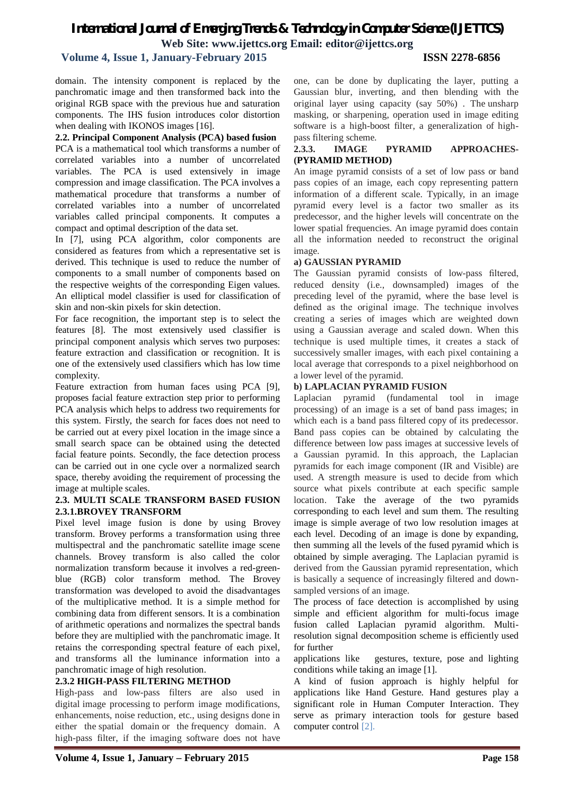# *International Journal of Emerging Trends & Technology in Computer Science (IJETTCS)* **Web Site: www.ijettcs.org Email: editor@ijettcs.org**

### **Volume 4, Issue 1, January-February 2015 ISSN 2278-6856**

domain. The intensity component is replaced by the panchromatic image and then transformed back into the original RGB space with the previous hue and saturation components. The IHS fusion introduces color distortion when dealing with IKONOS images [16].

**2.2. Principal Component Analysis (PCA) based fusion** 

PCA is a mathematical tool which transforms a number of correlated variables into a number of uncorrelated variables. The PCA is used extensively in image compression and image classification. The PCA involves a mathematical procedure that transforms a number of correlated variables into a number of uncorrelated variables called principal components. It computes a compact and optimal description of the data set.

In [7], using PCA algorithm, color components are considered as features from which a representative set is derived. This technique is used to reduce the number of components to a small number of components based on the respective weights of the corresponding Eigen values. An elliptical model classifier is used for classification of skin and non-skin pixels for skin detection.

For face recognition, the important step is to select the features [8]. The most extensively used classifier is principal component analysis which serves two purposes: feature extraction and classification or recognition. It is one of the extensively used classifiers which has low time complexity.

Feature extraction from human faces using PCA [9], proposes facial feature extraction step prior to performing PCA analysis which helps to address two requirements for this system. Firstly, the search for faces does not need to be carried out at every pixel location in the image since a small search space can be obtained using the detected facial feature points. Secondly, the face detection process can be carried out in one cycle over a normalized search space, thereby avoiding the requirement of processing the image at multiple scales.

#### **2.3. MULTI SCALE TRANSFORM BASED FUSION 2.3.1.BROVEY TRANSFORM**

Pixel level image fusion is done by using Brovey transform. Brovey performs a transformation using three multispectral and the panchromatic satellite image scene channels. Brovey transform is also called the color normalization transform because it involves a red-greenblue (RGB) color transform method. The Brovey transformation was developed to avoid the disadvantages of the multiplicative method. It is a simple method for combining data from different sensors. It is a combination of arithmetic operations and normalizes the spectral bands before they are multiplied with the panchromatic image. It retains the corresponding spectral feature of each pixel, and transforms all the luminance information into a panchromatic image of high resolution.

#### **2.3.2 HIGH-PASS FILTERING METHOD**

High-pass and low-pass filters are also used in digital image processing to perform image modifications, enhancements, noise reduction, etc., using designs done in either the spatial domain or the frequency domain. A high-pass filter, if the imaging software does not have

one, can be done by duplicating the layer, putting a Gaussian blur, inverting, and then blending with the original layer using capacity (say 50%) . The unsharp masking, or sharpening, operation used in image editing software is a high-boost filter, a generalization of highpass filtering scheme.

#### **2.3.3. IMAGE PYRAMID APPROACHES- (PYRAMID METHOD)**

An image pyramid consists of a set of low pass or band pass copies of an image, each copy representing pattern information of a different scale. Typically, in an image pyramid every level is a factor two smaller as its predecessor, and the higher levels will concentrate on the lower spatial frequencies. An image pyramid does contain all the information needed to reconstruct the original image.

#### **a) GAUSSIAN PYRAMID**

The Gaussian pyramid consists of low-pass filtered, reduced density (i.e., downsampled) images of the preceding level of the pyramid, where the base level is defined as the original image. The technique involves creating a series of images which are weighted down using a Gaussian average and scaled down. When this technique is used multiple times, it creates a stack of successively smaller images, with each pixel containing a local average that corresponds to a pixel neighborhood on a lower level of the pyramid.

#### **b) LAPLACIAN PYRAMID FUSION**

Laplacian pyramid (fundamental tool in image processing) of an image is a set of band pass images; in which each is a band pass filtered copy of its predecessor. Band pass copies can be obtained by calculating the difference between low pass images at successive levels of a Gaussian pyramid. In this approach, the Laplacian pyramids for each image component (IR and Visible) are used. A strength measure is used to decide from which source what pixels contribute at each specific sample location. Take the average of the two pyramids corresponding to each level and sum them. The resulting image is simple average of two low resolution images at each level. Decoding of an image is done by expanding, then summing all the levels of the fused pyramid which is obtained by simple averaging. The Laplacian pyramid is derived from the Gaussian pyramid representation, which is basically a sequence of increasingly filtered and downsampled versions of an image.

The process of face detection is accomplished by using simple and efficient algorithm for multi-focus image fusion called Laplacian pyramid algorithm. Multiresolution signal decomposition scheme is efficiently used for further

applications like gestures, texture, pose and lighting conditions while taking an image [1].

A kind of fusion approach is highly helpful for applications like Hand Gesture. Hand gestures play a significant role in Human Computer Interaction. They serve as primary interaction tools for gesture based computer control [2].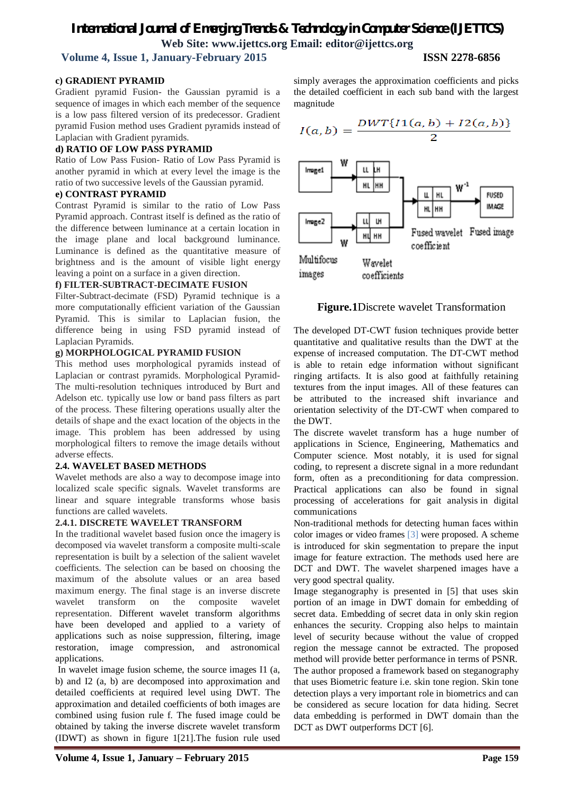## *International Journal of Emerging Trends & Technology in Computer Science (IJETTCS)* **Web Site: www.ijettcs.org Email: editor@ijettcs.org Volume 4, Issue 1, January-February 2015 ISSN 2278-6856**

# **c) GRADIENT PYRAMID**

Gradient pyramid Fusion- the Gaussian pyramid is a sequence of images in which each member of the sequence is a low pass filtered version of its predecessor. Gradient pyramid Fusion method uses Gradient pyramids instead of Laplacian with Gradient pyramids.

#### **d) RATIO OF LOW PASS PYRAMID**

Ratio of Low Pass Fusion- Ratio of Low Pass Pyramid is another pyramid in which at every level the image is the ratio of two successive levels of the Gaussian pyramid.

#### **e) CONTRAST PYRAMID**

Contrast Pyramid is similar to the ratio of Low Pass Pyramid approach. Contrast itself is defined as the ratio of the difference between luminance at a certain location in the image plane and local background luminance. Luminance is defined as the quantitative measure of brightness and is the amount of visible light energy leaving a point on a surface in a given direction.

#### **f) FILTER-SUBTRACT-DECIMATE FUSION**

Filter-Subtract-decimate (FSD) Pyramid technique is a more computationally efficient variation of the Gaussian Pyramid. This is similar to Laplacian fusion, the difference being in using FSD pyramid instead of Laplacian Pyramids.

#### **g) MORPHOLOGICAL PYRAMID FUSION**

This method uses morphological pyramids instead of Laplacian or contrast pyramids. Morphological Pyramid-The multi-resolution techniques introduced by Burt and Adelson etc. typically use low or band pass filters as part of the process. These filtering operations usually alter the details of shape and the exact location of the objects in the image. This problem has been addressed by using morphological filters to remove the image details without adverse effects.

#### **2.4. WAVELET BASED METHODS**

Wavelet methods are also a way to decompose image into localized scale specific signals. Wavelet transforms are linear and square integrable transforms whose basis functions are called wavelets.

#### **2.4.1. DISCRETE WAVELET TRANSFORM**

In the traditional wavelet based fusion once the imagery is decomposed via wavelet transform a composite multi-scale representation is built by a selection of the salient wavelet coefficients. The selection can be based on choosing the maximum of the absolute values or an area based maximum energy. The final stage is an inverse discrete wavelet transform on the composite wavelet representation. Different wavelet transform algorithms have been developed and applied to a variety of applications such as noise suppression, filtering, image restoration, image compression, and astronomical applications.

In wavelet image fusion scheme, the source images I1 (a, b) and I2 (a, b) are decomposed into approximation and detailed coefficients at required level using DWT. The approximation and detailed coefficients of both images are combined using fusion rule f. The fused image could be obtained by taking the inverse discrete wavelet transform (IDWT) as shown in figure 1[21].The fusion rule used

simply averages the approximation coefficients and picks the detailed coefficient in each sub band with the largest magnitude

$$
I(a,b) = \frac{DWT\{I1(a,b) + I2(a,b)\}}{2}
$$



**Figure.1**Discrete wavelet Transformation

The developed DT-CWT fusion techniques provide better quantitative and qualitative results than the DWT at the expense of increased computation. The DT-CWT method is able to retain edge information without significant ringing artifacts. It is also good at faithfully retaining textures from the input images. All of these features can be attributed to the increased shift invariance and orientation selectivity of the DT-CWT when compared to the DWT.

The discrete wavelet transform has a huge number of applications in Science, Engineering, Mathematics and Computer science. Most notably, it is used for signal coding, to represent a discrete signal in a more redundant form, often as a preconditioning for data compression. Practical applications can also be found in signal processing of accelerations for gait analysis in digital communications

Non-traditional methods for detecting human faces within color images or video frames [3] were proposed. A scheme is introduced for skin segmentation to prepare the input image for feature extraction. The methods used here are DCT and DWT. The wavelet sharpened images have a very good spectral quality.

Image steganography is presented in [5] that uses skin portion of an image in DWT domain for embedding of secret data. Embedding of secret data in only skin region enhances the security. Cropping also helps to maintain level of security because without the value of cropped region the message cannot be extracted. The proposed method will provide better performance in terms of PSNR. The author proposed a framework based on steganography that uses Biometric feature i.e. skin tone region. Skin tone detection plays a very important role in biometrics and can be considered as secure location for data hiding. Secret data embedding is performed in DWT domain than the DCT as DWT outperforms DCT [6].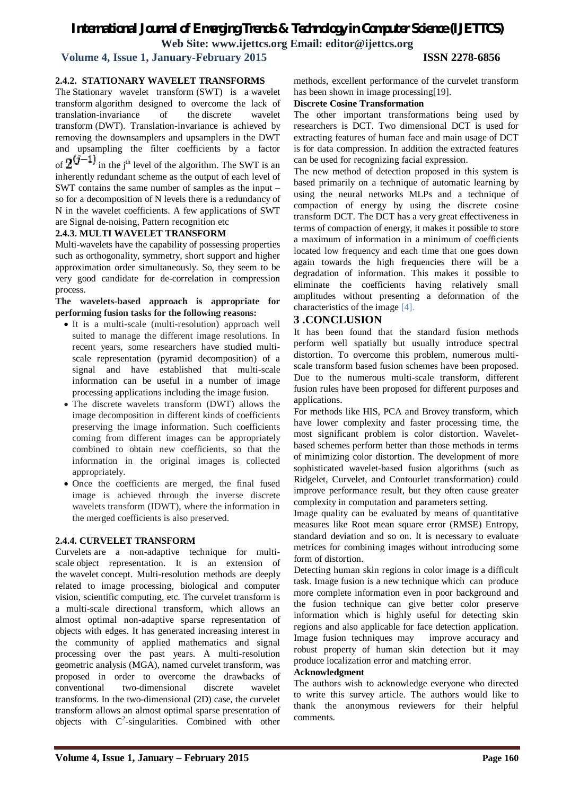# *International Journal of Emerging Trends & Technology in Computer Science (IJETTCS)*

**Web Site: www.ijettcs.org Email: editor@ijettcs.org** 

## **Volume 4, Issue 1, January-February 2015 ISSN 2278-6856**

#### **2.4.2. STATIONARY WAVELET TRANSFORMS**

The Stationary wavelet transform (SWT) is a wavelet transform algorithm designed to overcome the lack of translation-invariance of the discrete wavelet transform (DWT). Translation-invariance is achieved by removing the downsamplers and upsamplers in the DWT and upsampling the filter coefficients by a factor of  $2^{y-1}$  in the j<sup>th</sup> level of the algorithm. The SWT is an inherently redundant scheme as the output of each level of SWT contains the same number of samples as the input – so for a decomposition of N levels there is a redundancy of N in the wavelet coefficients. A few applications of SWT are Signal de-noising, Pattern recognition etc

#### **2.4.3. MULTI WAVELET TRANSFORM**

Multi-wavelets have the capability of possessing properties such as orthogonality, symmetry, short support and higher approximation order simultaneously. So, they seem to be very good candidate for de-correlation in compression process.

#### **The wavelets-based approach is appropriate for performing fusion tasks for the following reasons:**

- It is a multi-scale (multi-resolution) approach well suited to manage the different image resolutions. In recent years, some researchers have studied multiscale representation (pyramid decomposition) of a signal and have established that multi-scale information can be useful in a number of image processing applications including the image fusion.
- The discrete wavelets transform (DWT) allows the image decomposition in different kinds of coefficients preserving the image information. Such coefficients coming from different images can be appropriately combined to obtain new coefficients, so that the information in the original images is collected appropriately.
- Once the coefficients are merged, the final fused image is achieved through the inverse discrete wavelets transform (IDWT), where the information in the merged coefficients is also preserved.

#### **2.4.4. CURVELET TRANSFORM**

Curvelets are a non-adaptive technique for multiscale object representation. It is an extension of the wavelet concept. Multi-resolution methods are deeply related to image processing, biological and computer vision, scientific computing, etc. The curvelet transform is a multi-scale directional transform, which allows an almost optimal non-adaptive sparse representation of objects with edges. It has generated increasing interest in the community of applied mathematics and signal processing over the past years. A multi-resolution geometric analysis (MGA), named curvelet transform, was proposed in order to overcome the drawbacks of conventional two-dimensional discrete wavelet transforms. In the two-dimensional (2D) case, the curvelet transform allows an almost optimal sparse presentation of objects with  $C^2$ -singularities. Combined with other

methods, excellent performance of the curvelet transform has been shown in image processing[19].

#### **Discrete Cosine Transformation**

The other important transformations being used by researchers is DCT. Two dimensional DCT is used for extracting features of human face and main usage of DCT is for data compression. In addition the extracted features can be used for recognizing facial expression.

The new method of detection proposed in this system is based primarily on a technique of automatic learning by using the neural networks MLPs and a technique of compaction of energy by using the discrete cosine transform DCT. The DCT has a very great effectiveness in terms of compaction of energy, it makes it possible to store a maximum of information in a minimum of coefficients located low frequency and each time that one goes down again towards the high frequencies there will be a degradation of information. This makes it possible to eliminate the coefficients having relatively small amplitudes without presenting a deformation of the characteristics of the image [4].

### **3 .CONCLUSION**

It has been found that the standard fusion methods perform well spatially but usually introduce spectral distortion. To overcome this problem, numerous multiscale transform based fusion schemes have been proposed. Due to the numerous multi-scale transform, different fusion rules have been proposed for different purposes and applications.

For methods like HIS, PCA and Brovey transform, which have lower complexity and faster processing time, the most significant problem is color distortion. Waveletbased schemes perform better than those methods in terms of minimizing color distortion. The development of more sophisticated wavelet-based fusion algorithms (such as Ridgelet, Curvelet, and Contourlet transformation) could improve performance result, but they often cause greater complexity in computation and parameters setting.

Image quality can be evaluated by means of quantitative measures like Root mean square error (RMSE) Entropy, standard deviation and so on. It is necessary to evaluate metrices for combining images without introducing some form of distortion.

Detecting human skin regions in color image is a difficult task. Image fusion is a new technique which can produce more complete information even in poor background and the fusion technique can give better color preserve information which is highly useful for detecting skin regions and also applicable for face detection application. Image fusion techniques may improve accuracy and robust property of human skin detection but it may produce localization error and matching error.

#### **Acknowledgment**

The authors wish to acknowledge everyone who directed to write this survey article. The authors would like to thank the anonymous reviewers for their helpful comments.